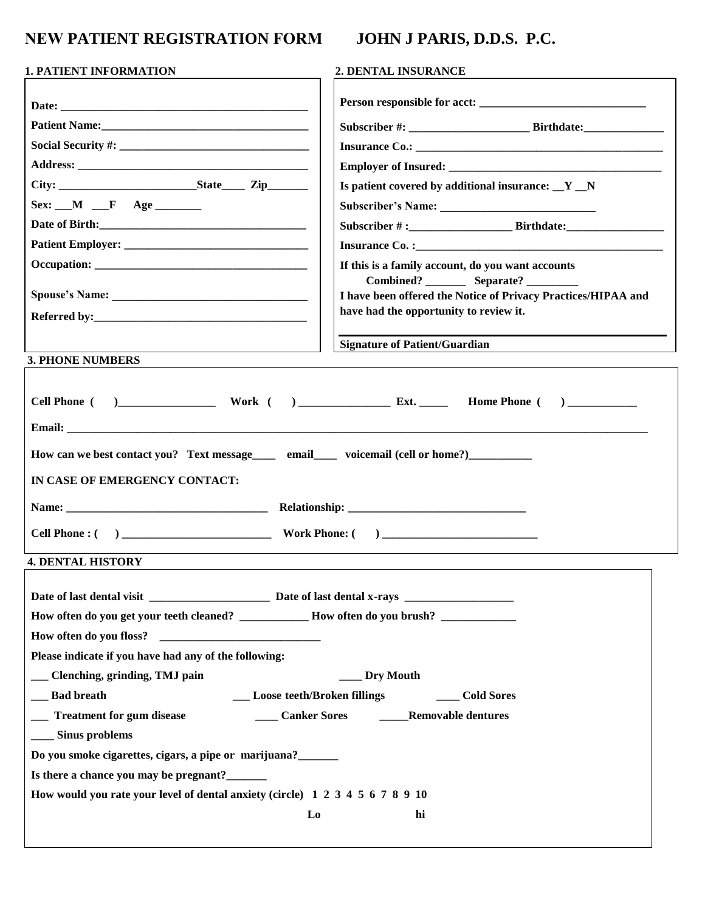## **NEW PATIENT REGISTRATION FORM JOHN J PARIS, D.D.S. P.C.**

| <b>1. PATIENT INFORMATION</b>                                                                                                                                                                                                                                                                                                                                                                                                                                                                                                                                                                           | 2. DENTAL INSURANCE                                                                                          |  |  |
|---------------------------------------------------------------------------------------------------------------------------------------------------------------------------------------------------------------------------------------------------------------------------------------------------------------------------------------------------------------------------------------------------------------------------------------------------------------------------------------------------------------------------------------------------------------------------------------------------------|--------------------------------------------------------------------------------------------------------------|--|--|
|                                                                                                                                                                                                                                                                                                                                                                                                                                                                                                                                                                                                         |                                                                                                              |  |  |
|                                                                                                                                                                                                                                                                                                                                                                                                                                                                                                                                                                                                         |                                                                                                              |  |  |
|                                                                                                                                                                                                                                                                                                                                                                                                                                                                                                                                                                                                         |                                                                                                              |  |  |
|                                                                                                                                                                                                                                                                                                                                                                                                                                                                                                                                                                                                         |                                                                                                              |  |  |
|                                                                                                                                                                                                                                                                                                                                                                                                                                                                                                                                                                                                         | Is patient covered by additional insurance: $Y_N$                                                            |  |  |
| $Sex:$ $M$ $F$ $Age$                                                                                                                                                                                                                                                                                                                                                                                                                                                                                                                                                                                    |                                                                                                              |  |  |
|                                                                                                                                                                                                                                                                                                                                                                                                                                                                                                                                                                                                         |                                                                                                              |  |  |
|                                                                                                                                                                                                                                                                                                                                                                                                                                                                                                                                                                                                         |                                                                                                              |  |  |
|                                                                                                                                                                                                                                                                                                                                                                                                                                                                                                                                                                                                         | If this is a family account, do you want accounts                                                            |  |  |
|                                                                                                                                                                                                                                                                                                                                                                                                                                                                                                                                                                                                         | Combined? _________ Separate? __________                                                                     |  |  |
|                                                                                                                                                                                                                                                                                                                                                                                                                                                                                                                                                                                                         | I have been offered the Notice of Privacy Practices/HIPAA and                                                |  |  |
|                                                                                                                                                                                                                                                                                                                                                                                                                                                                                                                                                                                                         | have had the opportunity to review it.                                                                       |  |  |
|                                                                                                                                                                                                                                                                                                                                                                                                                                                                                                                                                                                                         | <b>Signature of Patient/Guardian</b>                                                                         |  |  |
| <b>3. PHONE NUMBERS</b>                                                                                                                                                                                                                                                                                                                                                                                                                                                                                                                                                                                 |                                                                                                              |  |  |
| How can we best contact you? Text message_____ email_____ voicemail (cell or home?)__________<br>IN CASE OF EMERGENCY CONTACT:                                                                                                                                                                                                                                                                                                                                                                                                                                                                          |                                                                                                              |  |  |
| <b>4. DENTAL HISTORY</b>                                                                                                                                                                                                                                                                                                                                                                                                                                                                                                                                                                                |                                                                                                              |  |  |
| How often do you get your teeth cleaned? ____________ How often do you brush? ____________<br>How often do you floss?<br><u> 1980 - Jan Barnett, mars et al. 1980 - Angles Barnett, mars et al. 1980 - Angles Barnett, mars et al. 1980 - </u><br>Please indicate if you have had any of the following:<br>__ Clenching, grinding, TMJ pain<br>__ Bad breath<br>__ Treatment for gum disease<br>____ Sinus problems<br>Do you smoke cigarettes, cigars, a pipe or marijuana?<br>Is there a chance you may be pregnant?<br>How would you rate your level of dental anxiety (circle) 1 2 3 4 5 6 7 8 9 10 | Dry Mouth<br>___ Loose teeth/Broken fillings<br><b>Cold Sores</b><br>Canker Sores ________Removable dentures |  |  |
| L <sub>0</sub>                                                                                                                                                                                                                                                                                                                                                                                                                                                                                                                                                                                          | hi                                                                                                           |  |  |
|                                                                                                                                                                                                                                                                                                                                                                                                                                                                                                                                                                                                         |                                                                                                              |  |  |